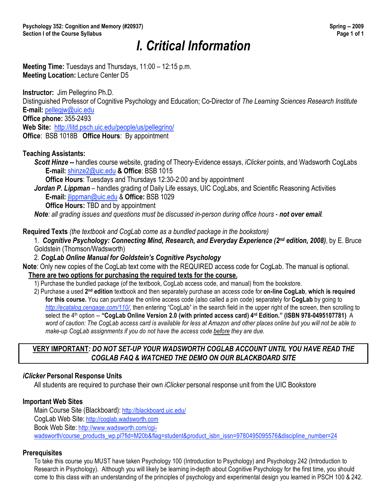# *I. Critical Information*

**Meeting Time:** Tuesdays and Thursdays, 11:00 – 12:15 p.m. **Meeting Location:** Lecture Center D5

**Instructor:** Jim Pellegrino Ph.D.

Distinguished Professor of Cognitive Psychology and Education; Co-Director of *The Learning Sciences Research Institute* **E-mail:** pellegjw@uic.edu

**Office phone:** 355-2493

**Web Site:** http://litd.psch.uic.edu/people/us/pellegrino/

**Office**: BSB 1018B **Office Hours**: By appointment

#### **Teaching Assistants:**

*Scott Hinze --* handles course website, grading of Theory-Evidence essays, *iClicker* points, and Wadsworth CogLabs **E-mail:** shinze2@uic.edu **& Office**: BSB 1015

**Office Hours**: Tuesdays and Thursdays 12:30-2:00 and by appointment

*Jordan P. Lippman* – handles grading of Daily Life essays, UIC CogLabs, and Scientific Reasoning Activities **E-mail:** jlippman@uic.edu & **Office:** BSB 1029

**Office Hours:** TBD and by appointment

*Note: all grading issues and questions must be discussed in-person during office hours - not over email.*

**Required Texts** *(the textbook and CogLab come as a bundled package in the bookstore)*

1. *Cognitive Psychology: Connecting Mind, Research, and Everyday Experience (2nd edition, 2008)*, by E. Bruce Goldstein (Thomson/Wadsworth)

2. *CogLab Online Manual for Goldstein's Cognitive Psychology*

**Note**: Only new copies of the CogLab text come with the REQUIRED access code for CogLab. The manual is optional.

#### **There are two options for purchasing the required texts for the course.**

- 1) Purchase the bundled package (of the textbook, CogLab access code, and manual) from the bookstore.
- 2) Purchase a used **2nd edition** textbook and then separately purchase an access code for **on-line CogLab**, **which is required for this course.** You can purchase the online access code (also called a pin code) separately for **CogLab** by going to *http://ecatalog.cengage.com/110/*, then entering "CogLab" in the search field in the upper right of the screen, then scrolling to select the 4<sup>th</sup> option -- "CogLab Online Version 2.0 (with printed access card) 4<sup>rd</sup> Edition." (ISBN 978-0495107781) A *word of caution: The CogLab access card is available for less at Amazon and other places online but you will not be able to make-up CogLab assignments if you do not have the access code before they are due.*

#### **VERY IMPORTANT***: DO NOT SET-UP YOUR WADSWORTH COGLAB ACCOUNT UNTIL YOU HAVE READ THE COGLAB FAQ & WATCHED THE DEMO ON OUR BLACKBOARD SITE*

#### *iClicker* **Personal Response Units**

All students are required to purchase their own *iClicker* personal response unit from the UIC Bookstore

#### **Important Web Sites**

Main Course Site (Blackboard): http://blackboard.uic.edu/ CogLab Web Site: http://coglab.wadsworth.com Book Web Site: http://www.wadsworth.com/cgiwadsworth/course\_products\_wp.pl?fid=M20b&flag=student&product\_isbn\_issn=9780495095576&discipline\_number=24

#### **Prerequisites**

To take this course you MUST have taken Psychology 100 (Introduction to Psychology) and Psychology 242 (Introduction to Research in Psychology). Although you will likely be learning in-depth about Cognitive Psychology for the first time, you should come to this class with an understanding of the principles of psychology and experimental design you learned in PSCH 100 & 242.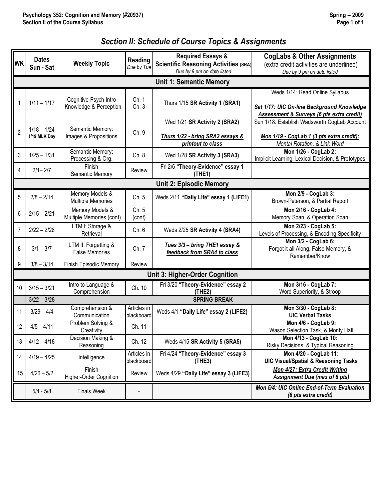# *Section II: Schedule of Course Topics & Assignments*

| <b>WK</b>                      | <b>Dates</b><br>Sun - Sat     | <b>Weekly Topic</b>                             | Reading<br>Due by Tue     | <b>Required Essays &amp;</b><br><b>Scientific Reasoning Activities (SRA)</b><br>Due by 9 pm on date listed | <b>CogLabs &amp; Other Assignments</b><br>(extra credit activities are underlined)<br>Due by 9 pm on date listed           |  |  |  |  |
|--------------------------------|-------------------------------|-------------------------------------------------|---------------------------|------------------------------------------------------------------------------------------------------------|----------------------------------------------------------------------------------------------------------------------------|--|--|--|--|
| <b>Unit 1: Semantic Memory</b> |                               |                                                 |                           |                                                                                                            |                                                                                                                            |  |  |  |  |
|                                | $1/11 - 1/17$                 | Cognitive Psych Intro<br>Knowledge & Perception | Ch. 1<br>Ch.3             | Thurs 1/15 SR Activity 1 (SRA1)                                                                            | Weds 1/14: Read Online Syllabus<br>Sat 1/17: UIC On-line Background Knowledge<br>Assessment & Surveys (6 pts extra credit) |  |  |  |  |
| $\overline{2}$                 | $1/18 - 1/24$<br>1/19 MLK Day | Semantic Memory:<br>Images & Propositions       | Ch. 9                     | Wed 1/21 SR Activity 2 (SRA2)<br>Thurs 1/22 - bring SRA2 essays &<br>printout to class                     | Sun 1/18: Establish Wadsworth CogLab Account<br>Mon 1/19 - CogLab 1 (3 pts extra credit):<br>Mental Rotation, & Link Word  |  |  |  |  |
| 3                              | $1/25 - 1/31$                 | Semantic Memory:<br>Processing & Org.           | Ch. 8                     | Wed 1/28 SR Activity 3 (SRA3)                                                                              | Mon 1/26 - CogLab 2:<br>Implicit Learning, Lexical Decision, & Prototypes                                                  |  |  |  |  |
| 4                              | $2/1 - 2/7$                   | Finish<br>Semantic Memory                       | Review                    | Fri 2/6 "Theory-Evidence" essay 1<br>(THE 1)                                                               |                                                                                                                            |  |  |  |  |
|                                |                               |                                                 |                           | <b>Unit 2: Episodic Memory</b>                                                                             |                                                                                                                            |  |  |  |  |
| 5                              | $2/8 - 2/14$                  | Memory Models &<br>Multiple Memories            | Ch. 5                     | Weds 2/11 "Daily Life" essay 1 (LIFE1)                                                                     | Mon 2/9 - CogLab 3:<br>Brown-Peterson, & Partial Report                                                                    |  |  |  |  |
| 6                              | $2/15 - 2/21$                 | Memory Models &<br>Multiple Memories (cont)     | Ch. 5<br>(cont)           |                                                                                                            | Mon 2/16 - CogLab 4:<br>Memory Span, & Operation Span                                                                      |  |  |  |  |
| 7                              | $2/22 - 2/28$                 | LTM I: Storage &<br>Retrieval                   | Ch.6                      | Weds 2/25 SR Activity 4 (SRA4)                                                                             | Mon 2/23 - CogLab 5:<br>Levels of Processing, & Encoding Specificity                                                       |  |  |  |  |
| 8                              | $3/1 - 3/7$                   | LTM II: Forgetting &<br><b>False Memories</b>   | Ch. 7                     | Tues 3/3 - bring THE1 essay &<br>feedback from SRA4 to class                                               | Mon 3/2 - CogLab 6:<br>Forgot it all Along, False Memory, &<br>Remember/Know                                               |  |  |  |  |
| 9                              | $3/8 - 3/14$                  | Finish Episodic Memory                          | Review                    |                                                                                                            |                                                                                                                            |  |  |  |  |
|                                |                               |                                                 |                           | <b>Unit 3: Higher-Order Cognition</b>                                                                      |                                                                                                                            |  |  |  |  |
| 10 <sup>°</sup>                | $3/15 - 3/21$                 | Intro to Language &<br>Comprehension            | Ch. 10                    | Fri 3/20 "Theory-Evidence" essay 2<br>(THE2)                                                               | Mon 3/16 - CogLab 7:<br>Word Superiority, & Stroop                                                                         |  |  |  |  |
|                                | $3/22 - 3/28$                 |                                                 |                           | <b>SPRING BREAK</b>                                                                                        |                                                                                                                            |  |  |  |  |
| 11                             | $3/29 - 4/4$                  | Comprehension &<br>Communication                | Articles in<br>blackboard | Weds 4/1 "Daily Life" essay 2 (LIFE2)                                                                      | Mon 3/30 - CogLab 8:<br><b>UIC Verbal Tasks</b>                                                                            |  |  |  |  |
| 12                             | $4/5 - 4/11$                  | Problem Solving &<br>Creativity                 | Ch. 11                    |                                                                                                            | Mon 4/6 - CogLab 9:<br>Wason Selection Task, & Monty Hall                                                                  |  |  |  |  |
| 13                             | $4/12 - 4/18$                 | Decision Making &<br>Reasoning                  | Ch. 12                    | Weds 4/15 SR Activity 5 (SRA5)                                                                             | Mon 4/13 - CogLab 10:<br>Risky Decisions, & Typical Reasoning                                                              |  |  |  |  |
| 14                             | $4/19 - 4/25$                 | Intelligence                                    | Articles in<br>blackboard | Fri 4/24 "Theory-Evidence" essay 3<br>(THE3)                                                               | Mon 4/20 - CogLab 11:<br><b>UIC Visual/Spatial &amp; Reasoning Tasks</b>                                                   |  |  |  |  |
| 15 <sub>1</sub>                | $4/26 - 5/2$                  | Finish<br>Higher-Order Cognition                | Review                    | Weds 4/29 "Daily Life" essay 3 (LIFE3)                                                                     | Mon 4/27: Extra Credit Writing<br><b>Assignment Due (max of 6 pts)</b>                                                     |  |  |  |  |
|                                | $5/4 - 5/8$                   | <b>Finals Week</b>                              |                           |                                                                                                            | Mon 5/4: UIC Online End-of-Term Evaluation<br>(6 pts extra credit)                                                         |  |  |  |  |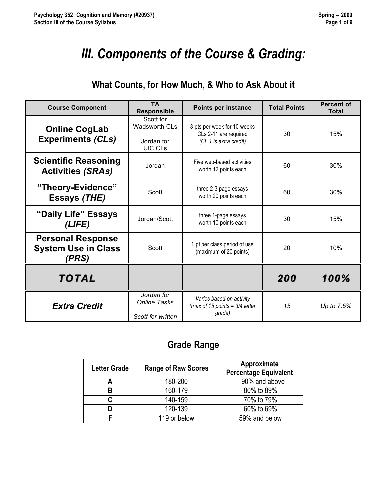# *III. Components of the Course & Grading:*

# **What Counts, for How Much, & Who to Ask About it**

| <b>Course Component</b>                                         | <b>TA</b><br><b>Responsible</b>                            | Points per instance                                                            | <b>Total Points</b> | <b>Percent of</b><br><b>Total</b> |
|-----------------------------------------------------------------|------------------------------------------------------------|--------------------------------------------------------------------------------|---------------------|-----------------------------------|
| <b>Online CogLab</b><br><b>Experiments (CLs)</b>                | Scott for<br><b>Wadsworth CLs</b><br>Jordan for<br>UIC CLs | 3 pts per week for 10 weeks<br>CLs 2-11 are required<br>(CL 1 is extra credit) | 30                  | 15%                               |
| <b>Scientific Reasoning</b><br><b>Activities (SRAs)</b>         | Jordan                                                     | Five web-based activities<br>worth 12 points each                              | 60                  | 30%                               |
| "Theory-Evidence"<br><b>Essays (THE)</b>                        | Scott                                                      | three 2-3 page essays<br>worth 20 points each                                  | 60                  | 30%                               |
| "Daily Life" Essays<br>(LIFE)                                   | Jordan/Scott                                               | three 1-page essays<br>worth 10 points each                                    | 30                  | 15%                               |
| <b>Personal Response</b><br><b>System Use in Class</b><br>(PRS) | Scott                                                      | 1 pt per class period of use<br>(maximum of 20 points)                         | 20                  | 10%                               |
| <b>TOTAL</b>                                                    |                                                            |                                                                                | 200                 | 100%                              |
| <b>Extra Credit</b>                                             | Jordan for<br><b>Online Tasks</b><br>Scott for written     | Varies based on activity<br>(max of 15 points = $3/4$ letter<br>grade)         | 15                  | Up to 7.5%                        |

# **Grade Range**

| <b>Letter Grade</b> | <b>Range of Raw Scores</b> | Approximate<br><b>Percentage Equivalent</b> |  |  |
|---------------------|----------------------------|---------------------------------------------|--|--|
| А                   | 180-200                    | 90% and above                               |  |  |
| R                   | 160-179                    | 80% to 89%                                  |  |  |
|                     | 140-159                    | 70% to 79%                                  |  |  |
|                     | 120-139                    | 60% to 69%                                  |  |  |
|                     | 119 or below               | 59% and below                               |  |  |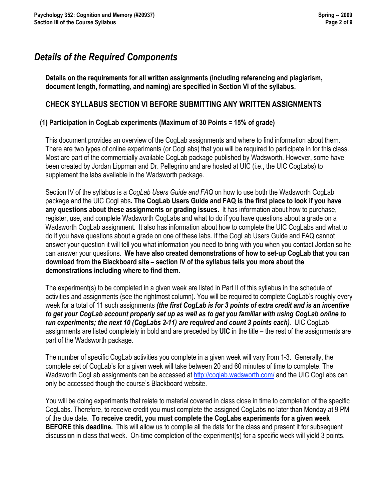# *Details of the Required Components*

**Details on the requirements for all written assignments (including referencing and plagiarism, document length, formatting, and naming) are specified in Section VI of the syllabus.** 

### **CHECK SYLLABUS SECTION VI BEFORE SUBMITTING ANY WRITTEN ASSIGNMENTS**

#### **(1) Participation in CogLab experiments (Maximum of 30 Points = 15% of grade)**

This document provides an overview of the CogLab assignments and where to find information about them. There are two types of online experiments (or CogLabs) that you will be required to participate in for this class. Most are part of the commercially available CogLab package published by Wadsworth. However, some have been created by Jordan Lippman and Dr. Pellegrino and are hosted at UIC (i.e., the UIC CogLabs) to supplement the labs available in the Wadsworth package.

Section IV of the syllabus is a *CogLab Users Guide and FAQ* on how to use both the Wadsworth CogLab package and the UIC CogLabs**. The CogLab Users Guide and FAQ is the first place to look if you have any questions about these assignments or grading issues.** It has information about how to purchase, register, use, and complete Wadsworth CogLabs and what to do if you have questions about a grade on a Wadsworth CogLab assignment. It also has information about how to complete the UIC CogLabs and what to do if you have questions about a grade on one of these labs. If the CogLab Users Guide and FAQ cannot answer your question it will tell you what information you need to bring with you when you contact Jordan so he can answer your questions. **We have also created demonstrations of how to set-up CogLab that you can download from the Blackboard site – section IV of the syllabus tells you more about the demonstrations including where to find them.** 

The experiment(s) to be completed in a given week are listed in Part II of this syllabus in the schedule of activities and assignments (see the rightmost column). You will be required to complete CogLab's roughly every week for a total of 11 such assignments *(the first CogLab is for 3 points of extra credit and is an incentive to get your CogLab account properly set up as well as to get you familiar with using CogLab online to run experiments; the next 10 (CogLabs 2-11) are required and count 3 points each)*. UIC CogLab assignments are listed completely in bold and are preceded by **UIC** in the title – the rest of the assignments are part of the Wadsworth package.

The number of specific CogLab activities you complete in a given week will vary from 1-3. Generally, the complete set of CogLab's for a given week will take between 20 and 60 minutes of time to complete. The Wadsworth CogLab assignments can be accessed at http://coglab.wadsworth.com/ and the UIC CogLabs can only be accessed though the course's Blackboard website.

You will be doing experiments that relate to material covered in class close in time to completion of the specific CogLabs. Therefore, to receive credit you must complete the assigned CogLabs no later than Monday at 9 PM of the due date. **To receive credit, you must complete the CogLabs experiments for a given week BEFORE this deadline.** This will allow us to compile all the data for the class and present it for subsequent discussion in class that week. On-time completion of the experiment(s) for a specific week will yield 3 points.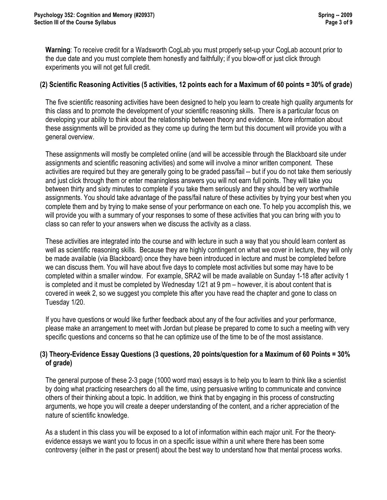**Warning**: To receive credit for a Wadsworth CogLab you must properly set-up your CogLab account prior to the due date and you must complete them honestly and faithfully; if you blow-off or just click through experiments you will not get full credit.

#### **(2) Scientific Reasoning Activities (5 activities, 12 points each for a Maximum of 60 points = 30% of grade)**

The five scientific reasoning activities have been designed to help you learn to create high quality arguments for this class and to promote the development of your scientific reasoning skills. There is a particular focus on developing your ability to think about the relationship between theory and evidence. More information about these assignments will be provided as they come up during the term but this document will provide you with a general overview.

These assignments will mostly be completed online (and will be accessible through the Blackboard site under assignments and scientific reasoning activities) and some will involve a minor written component. These activities are required but they are generally going to be graded pass/fail -- but if you do not take them seriously and just click through them or enter meaningless answers you will not earn full points. They will take you between thirty and sixty minutes to complete if you take them seriously and they should be very worthwhile assignments. You should take advantage of the pass/fail nature of these activities by trying your best when you complete them and by trying to make sense of your performance on each one. To help you accomplish this, we will provide you with a summary of your responses to some of these activities that you can bring with you to class so can refer to your answers when we discuss the activity as a class.

These activities are integrated into the course and with lecture in such a way that you should learn content as well as scientific reasoning skills. Because they are highly contingent on what we cover in lecture, they will only be made available (via Blackboard) once they have been introduced in lecture and must be completed before we can discuss them. You will have about five days to complete most activities but some may have to be completed within a smaller window. For example, SRA2 will be made available on Sunday 1-18 after activity 1 is completed and it must be completed by Wednesday 1/21 at 9 pm – however, it is about content that is covered in week 2, so we suggest you complete this after you have read the chapter and gone to class on Tuesday 1/20.

If you have questions or would like further feedback about any of the four activities and your performance, please make an arrangement to meet with Jordan but please be prepared to come to such a meeting with very specific questions and concerns so that he can optimize use of the time to be of the most assistance.

#### **(3) Theory-Evidence Essay Questions (3 questions, 20 points/question for a Maximum of 60 Points = 30% of grade)**

The general purpose of these 2-3 page (1000 word max) essays is to help you to learn to think like a scientist by doing what practicing researchers do all the time, using persuasive writing to communicate and convince others of their thinking about a topic. In addition, we think that by engaging in this process of constructing arguments, we hope you will create a deeper understanding of the content, and a richer appreciation of the nature of scientific knowledge.

As a student in this class you will be exposed to a lot of information within each major unit. For the theoryevidence essays we want you to focus in on a specific issue within a unit where there has been some controversy (either in the past or present) about the best way to understand how that mental process works.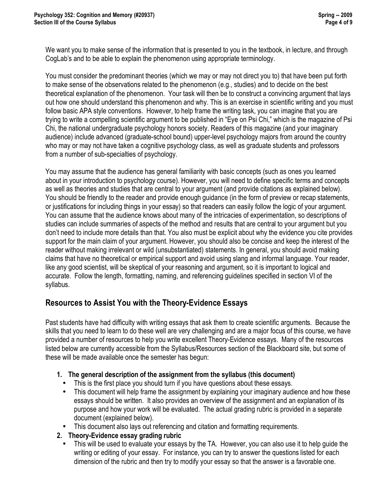We want you to make sense of the information that is presented to you in the textbook, in lecture, and through CogLab's and to be able to explain the phenomenon using appropriate terminology.

You must consider the predominant theories (which we may or may not direct you to) that have been put forth to make sense of the observations related to the phenomenon (e.g., studies) and to decide on the best theoretical explanation of the phenomenon. Your task will then be to construct a convincing argument that lays out how one should understand this phenomenon and why. This is an exercise in scientific writing and you must follow basic APA style conventions. However, to help frame the writing task, you can imagine that you are trying to write a compelling scientific argument to be published in "Eye on Psi Chi," which is the magazine of Psi Chi, the national undergraduate psychology honors society. Readers of this magazine (and your imaginary audience) include advanced (graduate-school bound) upper-level psychology majors from around the country who may or may not have taken a cognitive psychology class, as well as graduate students and professors from a number of sub-specialties of psychology.

You may assume that the audience has general familiarity with basic concepts (such as ones you learned about in your introduction to psychology course). However, you will need to define specific terms and concepts as well as theories and studies that are central to your argument (and provide citations as explained below). You should be friendly to the reader and provide enough guidance (in the form of preview or recap statements, or justifications for including things in your essay) so that readers can easily follow the logic of your argument. You can assume that the audience knows about many of the intricacies of experimentation, so descriptions of studies can include summaries of aspects of the method and results that are central to your argument but you don't need to include more details than that. You also must be explicit about why the evidence you cite provides support for the main claim of your argument. However, you should also be concise and keep the interest of the reader without making irrelevant or wild (unsubstantiated) statements. In general, you should avoid making claims that have no theoretical or empirical support and avoid using slang and informal language. Your reader, like any good scientist, will be skeptical of your reasoning and argument, so it is important to logical and accurate. Follow the length, formatting, naming, and referencing guidelines specified in section VI of the syllabus.

## **Resources to Assist You with the Theory-Evidence Essays**

Past students have had difficulty with writing essays that ask them to create scientific arguments. Because the skills that you need to learn to do these well are very challenging and are a major focus of this course, we have provided a number of resources to help you write excellent Theory-Evidence essays. Many of the resources listed below are currently accessible from the Syllabus/Resources section of the Blackboard site, but some of these will be made available once the semester has begun:

#### **1. The general description of the assignment from the syllabus (this document)**

- This is the first place you should turn if you have questions about these essays.
- This document will help frame the assignment by explaining your imaginary audience and how these essays should be written. It also provides an overview of the assignment and an explanation of its purpose and how your work will be evaluated. The actual grading rubric is provided in a separate document (explained below).
- This document also lays out referencing and citation and formatting requirements.

#### **2. Theory-Evidence essay grading rubric**

• This will be used to evaluate your essays by the TA. However, you can also use it to help guide the writing or editing of your essay. For instance, you can try to answer the questions listed for each dimension of the rubric and then try to modify your essay so that the answer is a favorable one.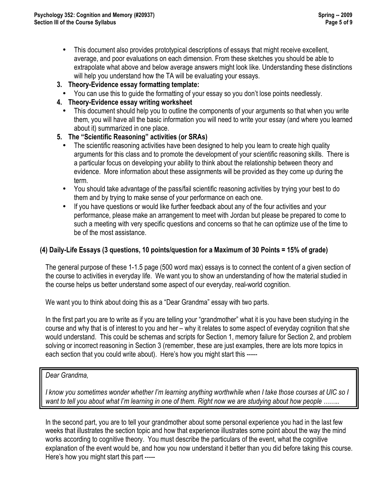- This document also provides prototypical descriptions of essays that might receive excellent, average, and poor evaluations on each dimension. From these sketches you should be able to extrapolate what above and below average answers might look like. Understanding these distinctions will help you understand how the TA will be evaluating your essays.
- **3. Theory-Evidence essay formatting template:**
- You can use this to guide the formatting of your essay so you don't lose points needlessly.
- **4. Theory-Evidence essay writing worksheet** 
	- This document should help you to outline the components of your arguments so that when you write them, you will have all the basic information you will need to write your essay (and where you learned about it) summarized in one place.
- **5. The "Scientific Reasoning" activities (or SRAs)** 
	- The scientific reasoning activities have been designed to help you learn to create high quality arguments for this class and to promote the development of your scientific reasoning skills. There is a particular focus on developing your ability to think about the relationship between theory and evidence. More information about these assignments will be provided as they come up during the term.
	- You should take advantage of the pass/fail scientific reasoning activities by trying your best to do them and by trying to make sense of your performance on each one.
	- If you have questions or would like further feedback about any of the four activities and your performance, please make an arrangement to meet with Jordan but please be prepared to come to such a meeting with very specific questions and concerns so that he can optimize use of the time to be of the most assistance.

#### **(4) Daily-Life Essays (3 questions, 10 points/question for a Maximum of 30 Points = 15% of grade)**

The general purpose of these 1-1.5 page (500 word max) essays is to connect the content of a given section of the course to activities in everyday life. We want you to show an understanding of how the material studied in the course helps us better understand some aspect of our everyday, real-world cognition.

We want you to think about doing this as a "Dear Grandma" essay with two parts.

In the first part you are to write as if you are telling your "grandmother" what it is you have been studying in the course and why that is of interest to you and her – why it relates to some aspect of everyday cognition that she would understand. This could be schemas and scripts for Section 1, memory failure for Section 2, and problem solving or incorrect reasoning in Section 3 (remember, these are just examples, there are lots more topics in each section that you could write about). Here's how you might start this -----

#### *Dear Grandma,*

*I know you sometimes wonder whether I'm learning anything worthwhile when I take those courses at UIC so I*  want to tell you about what I'm learning in one of them. Right now we are studying about how people ........

In the second part, you are to tell your grandmother about some personal experience you had in the last few weeks that illustrates the section topic and how that experience illustrates some point about the way the mind works according to cognitive theory. You must describe the particulars of the event, what the cognitive explanation of the event would be, and how you now understand it better than you did before taking this course. Here's how you might start this part -----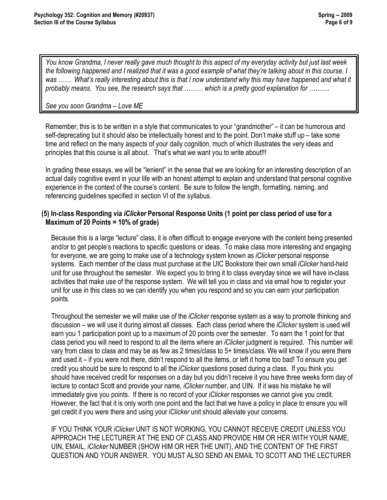*You know Grandma, I never really gave much thought to this aspect of my everyday activity but just last week the following happened and I realized that it was a good example of what they're talking about in this course. I*  was ...... What's really interesting about this is that I now understand why this may have happened and what it *probably means. You see, the research says that ……… which is a pretty good explanation for ……….*

*See you soon Grandma – Love ME*

Remember, this is to be written in a style that communicates to your "grandmother" – it can be humorous and self-deprecating but it should also be intellectually honest and to the point. Don't make stuff up – take some time and reflect on the many aspects of your daily cognition, much of which illustrates the very ideas and principles that this course is all about. That's what we want you to write about!!!

In grading these essays, we will be "lenient" in the sense that we are looking for an interesting description of an actual daily cognitive event in your life with an honest attempt to explain and understand that personal cognitive experience in the context of the course's content. Be sure to follow the length, formatting, naming, and referencing guidelines specified in section VI of the syllabus.

#### **(5) In-class Responding via** *iClicker* **Personal Response Units (1 point per class period of use for a Maximum of 20 Points = 10% of grade)**

Because this is a large "lecture" class, it is often difficult to engage everyone with the content being presented and/or to get people's reactions to specific questions or ideas. To make class more interesting and engaging for everyone, we are going to make use of a technology system known as *iClicker* personal response systems. Each member of the class must purchase at the UIC Bookstore their own small *iClicker* hand-held unit for use throughout the semester. We expect you to bring it to class everyday since we will have in-class activities that make use of the response system. We will tell you in class and via email how to register your unit for use in this class so we can identify you when you respond and so you can earn your participation points.

Throughout the semester we will make use of the *iClicker* response system as a way to promote thinking and discussion – we will use it during almost all classes. Each class period where the *iClicker* system is used will earn you 1 participation point up to a maximum of 20 points over the semester. To earn the 1 point for that class period you will need to respond to all the items where an *iClicker* judgment is required. This number will vary from class to class and may be as few as 2 times/class to 5+ times/class. We will know if you were there and used it – if you were not there, didn't respond to all the items, or left it home too bad! To ensure you get credit you should be sure to respond to all the *iClicker* questions posed during a class. If you think you should have received credit for responses on a day but you didn't receive it you have three weeks form day of lecture to contact Scott and provide your name, *iClicker* number, and UIN. If it was his mistake he will immediately give you points. If there is no record of your *iClicker* responses we cannot give you credit. However, the fact that it is only worth one point and the fact that we have a policy in place to ensure you will get credit if you were there and using your *iClicker* unit should alleviate your concerns.

IF YOU THINK YOUR *iClicker* UNIT IS NOT WORKING, YOU CANNOT RECEIVE CREDIT UNLESS YOU APPROACH THE LECTURER AT THE END OF CLASS AND PROVIDE HIM OR HER WITH YOUR NAME, UIN, EMAIL, *iClicker* NUMBER (SHOW HIM OR HER THE UNIT), AND THE CONTENT OF THE FIRST QUESTION AND YOUR ANSWER. YOU MUST ALSO SEND AN EMAIL TO SCOTT AND THE LECTURER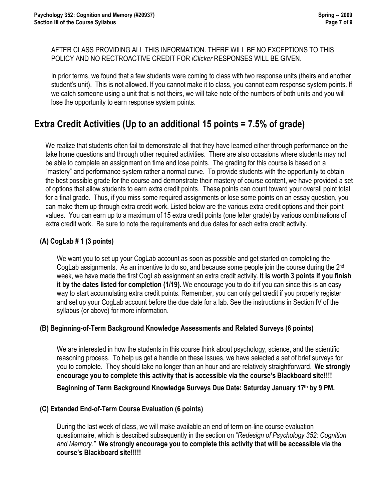AFTER CLASS PROVIDING ALL THIS INFORMATION. THERE WILL BE NO EXCEPTIONS TO THIS POLICY AND NO RECTROACTIVE CREDIT FOR *iClicker* RESPONSES WILL BE GIVEN.

In prior terms, we found that a few students were coming to class with two response units (theirs and another student's unit). This is not allowed. If you cannot make it to class, you cannot earn response system points. If we catch someone using a unit that is not theirs, we will take note of the numbers of both units and you will lose the opportunity to earn response system points.

## **Extra Credit Activities (Up to an additional 15 points = 7.5% of grade)**

We realize that students often fail to demonstrate all that they have learned either through performance on the take home questions and through other required activities. There are also occasions where students may not be able to complete an assignment on time and lose points. The grading for this course is based on a "mastery" and performance system rather a normal curve. To provide students with the opportunity to obtain the best possible grade for the course and demonstrate their mastery of course content, we have provided a set of options that allow students to earn extra credit points. These points can count toward your overall point total for a final grade. Thus, if you miss some required assignments or lose some points on an essay question, you can make them up through extra credit work. Listed below are the various extra credit options and their point values. You can earn up to a maximum of 15 extra credit points (one letter grade) by various combinations of extra credit work. Be sure to note the requirements and due dates for each extra credit activity.

#### **(A) CogLab # 1 (3 points)**

We want you to set up your CogLab account as soon as possible and get started on completing the CogLab assignments. As an incentive to do so, and because some people join the course during the 2<sup>nd</sup> week, we have made the first CogLab assignment an extra credit activity. **It is worth 3 points if you finish it by the dates listed for completion (1/19).** We encourage you to do it if you can since this is an easy way to start accumulating extra credit points. Remember, you can only get credit if you properly register and set up your CogLab account before the due date for a lab. See the instructions in Section IV of the syllabus (or above) for more information.

#### **(B) Beginning-of-Term Background Knowledge Assessments and Related Surveys (6 points)**

We are interested in how the students in this course think about psychology, science, and the scientific reasoning process. To help us get a handle on these issues, we have selected a set of brief surveys for you to complete. They should take no longer than an hour and are relatively straightforward. **We strongly encourage you to complete this activity that is accessible via the course's Blackboard site!!!!**

**Beginning of Term Background Knowledge Surveys Due Date: Saturday January 17th by 9 PM.**

#### **(C) Extended End-of-Term Course Evaluation (6 points)**

During the last week of class, we will make available an end of term on-line course evaluation questionnaire, which is described subsequently in the section on "*Redesign of Psychology 352: Cognition and Memory."* **We strongly encourage you to complete this activity that will be accessible via the course's Blackboard site!!!!!**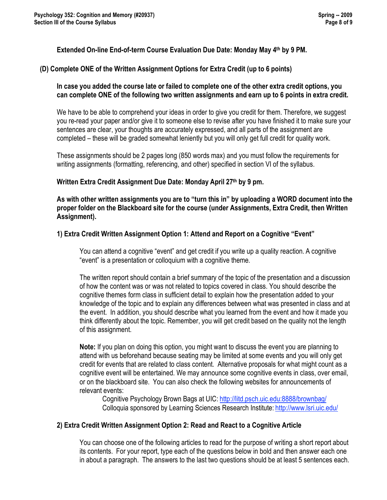#### **Extended On-line End-of-term Course Evaluation Due Date: Monday May 4th by 9 PM.**

#### **(D) Complete ONE of the Written Assignment Options for Extra Credit (up to 6 points)**

#### **In case you added the course late or failed to complete one of the other extra credit options, you can complete ONE of the following two written assignments and earn up to 6 points in extra credit.**

We have to be able to comprehend your ideas in order to give you credit for them. Therefore, we suggest you re-read your paper and/or give it to someone else to revise after you have finished it to make sure your sentences are clear, your thoughts are accurately expressed, and all parts of the assignment are completed – these will be graded somewhat leniently but you will only get full credit for quality work.

These assignments should be 2 pages long (850 words max) and you must follow the requirements for writing assignments (formatting, referencing, and other) specified in section VI of the syllabus.

#### Written Extra Credit Assignment Due Date: Monday April 27th by 9 pm.

**As with other written assignments you are to "turn this in" by uploading a WORD document into the proper folder on the Blackboard site for the course (under Assignments, Extra Credit, then Written Assignment).**

#### **1) Extra Credit Written Assignment Option 1: Attend and Report on a Cognitive "Event"**

You can attend a cognitive "event" and get credit if you write up a quality reaction. A cognitive "event" is a presentation or colloquium with a cognitive theme.

The written report should contain a brief summary of the topic of the presentation and a discussion of how the content was or was not related to topics covered in class. You should describe the cognitive themes form class in sufficient detail to explain how the presentation added to your knowledge of the topic and to explain any differences between what was presented in class and at the event. In addition, you should describe what you learned from the event and how it made you think differently about the topic. Remember, you will get credit based on the quality not the length of this assignment.

**Note:** If you plan on doing this option, you might want to discuss the event you are planning to attend with us beforehand because seating may be limited at some events and you will only get credit for events that are related to class content. Alternative proposals for what might count as a cognitive event will be entertained. We may announce some cognitive events in class, over email, or on the blackboard site. You can also check the following websites for announcements of relevant events:

Cognitive Psychology Brown Bags at UIC: http://litd.psch.uic.edu:8888/brownbag/ Colloquia sponsored by Learning Sciences Research Institute: http://www.lsri.uic.edu/

#### **2) Extra Credit Written Assignment Option 2: Read and React to a Cognitive Article**

You can choose one of the following articles to read for the purpose of writing a short report about its contents. For your report, type each of the questions below in bold and then answer each one in about a paragraph. The answers to the last two questions should be at least 5 sentences each.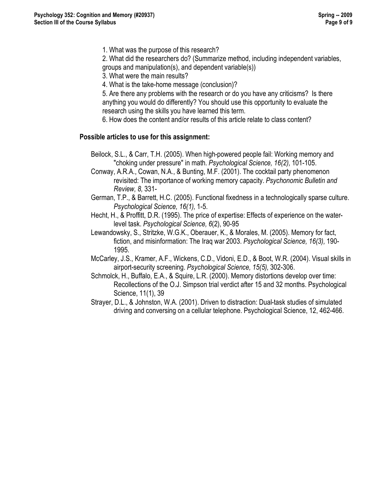1. What was the purpose of this research?

2. What did the researchers do? (Summarize method, including independent variables, groups and manipulation(s), and dependent variable(s))

- 3. What were the main results?
- 4. What is the take-home message (conclusion)?

5. Are there any problems with the research or do you have any criticisms? Is there anything you would do differently? You should use this opportunity to evaluate the research using the skills you have learned this term.

6. How does the content and/or results of this article relate to class content?

#### **Possible articles to use for this assignment:**

- Beilock, S.L., & Carr, T.H. (2005). When high-powered people fail: Working memory and "choking under pressure" in math. *Psychological Science, 16(2),* 101-105.
- Conway, A.R.A., Cowan, N.A., & Bunting, M.F. (2001). The cocktail party phenomenon revisited: The importance of working memory capacity. *Psychonomic Bulletin and Review, 8,* 331-
- German, T.P., & Barrett, H.C. (2005). Functional fixedness in a technologically sparse culture. *Psychological Science, 16(1),* 1-5.
- Hecht, H., & Proffitt, D.R. (1995). The price of expertise: Effects of experience on the waterlevel task. *Psychological Science, 6*(2), 90-95
- Lewandowsky, S., Stritzke, W.G.K., Oberauer, K., & Morales, M. (2005). Memory for fact, fiction, and misinformation: The Iraq war 2003. *Psychological Science, 16(3),* 190- 1995.
- McCarley, J.S., Kramer, A.F., Wickens, C.D., Vidoni, E.D., & Boot, W.R. (2004). Visual skills in airport-security screening. *Psychological Science, 15(5),* 302-306.
- Schmolck, H., Buffalo, E.A., & Squire, L.R. (2000). Memory distortions develop over time: Recollections of the O.J. Simpson trial verdict after 15 and 32 months. Psychological Science, 11(1), 39
- Strayer, D.L., & Johnston, W.A. (2001). Driven to distraction: Dual-task studies of simulated driving and conversing on a cellular telephone. Psychological Science, 12, 462-466.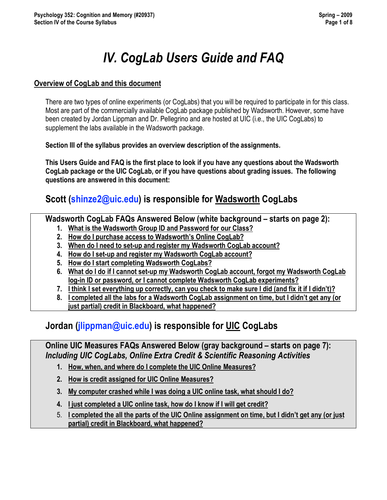# *IV. CogLab Users Guide and FAQ*

#### **Overview of CogLab and this document**

There are two types of online experiments (or CogLabs) that you will be required to participate in for this class. Most are part of the commercially available CogLab package published by Wadsworth. However, some have been created by Jordan Lippman and Dr. Pellegrino and are hosted at UIC (i.e., the UIC CogLabs) to supplement the labs available in the Wadsworth package.

**Section III of the syllabus provides an overview description of the assignments.** 

**This Users Guide and FAQ is the first place to look if you have any questions about the Wadsworth CogLab package or the UIC CogLab, or if you have questions about grading issues. The following questions are answered in this document:**

# **Scott (shinze2@uic.edu) is responsible for Wadsworth CogLabs**

**Wadsworth CogLab FAQs Answered Below (white background – starts on page 2):**

- **1. What is the Wadsworth Group ID and Password for our Class?**
- **2. How do I purchase access to Wadsworth's Online CogLab?**
- **3. When do I need to set-up and register my Wadsworth CogLab account?**
- **4. How do I set-up and register my Wadsworth CogLab account?**
- **5. How do I start completing Wadsworth CogLabs?**
- **6. What do I do if I cannot set-up my Wadsworth CogLab account, forgot my Wadsworth CogLab log-in ID or password, or I cannot complete Wadsworth CogLab experiments?**
- **7. I think I set everything up correctly, can you check to make sure I did (and fix it if I didn't)?**
- **8. I completed all the labs for a Wadsworth CogLab assignment on time, but I didn't get any (or just partial) credit in Blackboard, what happened?**

## **Jordan (jlippman@uic.edu) is responsible for UIC CogLabs**

**Online UIC Measures FAQs Answered Below (gray background – starts on page 7):** *Including UIC CogLabs, Online Extra Credit & Scientific Reasoning Activities*

- **1. How, when, and where do I complete the UIC Online Measures?**
- **2. How is credit assigned for UIC Online Measures?**
- **3. My computer crashed while I was doing a UIC online task, what should I do?**
- **4. I just completed a UIC online task, how do I know if I will get credit?**
- 5. **I completed the all the parts of the UIC Online assignment on time, but I didn't get any (or just partial) credit in Blackboard, what happened?**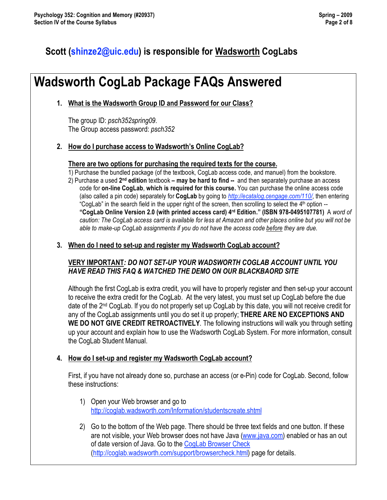## **Scott (shinze2@uic.edu) is responsible for Wadsworth CogLabs**

# **Wadsworth CogLab Package FAQs Answered**

#### **1. What is the Wadsworth Group ID and Password for our Class?**

The group ID: *psch352spring09*. The Group access password: *psch352*

#### **2. How do I purchase access to Wadsworth's Online CogLab?**

#### **There are two options for purchasing the required texts for the course.**

1) Purchase the bundled package (of the textbook, CogLab access code, and manuel) from the bookstore. 2) Purchase a used **2nd edition** textbook **– may be hard to find --** and then separately purchase an access code for **on-line CogLab**, **which is required for this course.** You can purchase the online access code (also called a pin code) separately for **CogLab** by going to *http://ecatalog.cengage.com/110/*, then entering "CogLab" in the search field in the upper right of the screen, then scrolling to select the  $4<sup>th</sup>$  option  $-$ **"CogLab Online Version 2.0 (with printed access card) 4rd Edition." (ISBN 978-0495107781)** A *word of caution: The CogLab access card is available for less at Amazon and other places online but you will not be able to make-up CogLab assignments if you do not have the access code before they are due.* 

#### **3. When do I need to set-up and register my Wadsworth CogLab account?**

#### **VERY IMPORTANT***: DO NOT SET-UP YOUR WADSWORTH COGLAB ACCOUNT UNTIL YOU HAVE READ THIS FAQ & WATCHED THE DEMO ON OUR BLACKBAORD SITE*

Although the first CogLab is extra credit, you will have to properly register and then set-up your account to receive the extra credit for the CogLab. At the very latest, you must set up CogLab before the due date of the 2nd CogLab. If you do not properly set up CogLab by this date, you will not receive credit for any of the CogLab assignments until you do set it up properly; **THERE ARE NO EXCEPTIONS AND WE DO NOT GIVE CREDIT RETROACTIVELY**. The following instructions will walk you through setting up your account and explain how to use the Wadsworth CogLab System. For more information, consult the CogLab Student Manual.

#### **4. How do I set-up and register my Wadsworth CogLab account?**

First, if you have not already done so, purchase an access (or e-Pin) code for CogLab. Second, follow these instructions:

- 1) Open your Web browser and go to http://coglab.wadsworth.com/Information/studentscreate.shtml
- 2) Go to the bottom of the Web page. There should be three text fields and one button. If these are not visible, your Web browser does not have Java (www.java.com) enabled or has an out of date version of Java. Go to the CogLab Browser Check (http://coglab.wadsworth.com/support/browsercheck.html) page for details.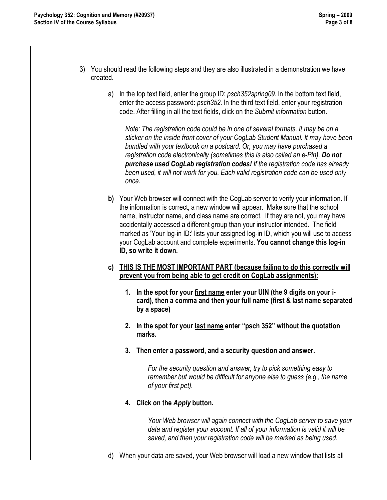- 3) You should read the following steps and they are also illustrated in a demonstration we have created.
	- a) In the top text field, enter the group ID: *psch352spring09*. In the bottom text field, enter the access password: *psch352*. In the third text field, enter your registration code. After filling in all the text fields, click on the *Submit information* button.

*Note: The registration code could be in one of several formats. It may be on a sticker on the inside front cover of your CogLab Student Manual. It may have been bundled with your textbook on a postcard. Or, you may have purchased a registration code electronically (sometimes this is also called an e-Pin). Do not purchase used CogLab registration codes! If the registration code has already been used, it will not work for you. Each valid registration code can be used only once.* 

- **b)** Your Web browser will connect with the CogLab server to verify your information. If the information is correct, a new window will appear. Make sure that the school name, instructor name, and class name are correct. If they are not, you may have accidentally accessed a different group than your instructor intended. The field marked as 'Your log-in ID:' lists your assigned log-in ID, which you will use to access your CogLab account and complete experiments. **You cannot change this log-in ID, so write it down.**
- **c) THIS IS THE MOST IMPORTANT PART (because failing to do this correctly will prevent you from being able to get credit on CogLab assignments):**
	- **1. In the spot for your first name enter your UIN (the 9 digits on your icard), then a comma and then your full name (first & last name separated by a space)**
	- **2. In the spot for your last name enter "psch 352" without the quotation marks.**
	- **3. Then enter a password, and a security question and answer.**

*For the security question and answer, try to pick something easy to remember but would be difficult for anyone else to guess (e.g., the name of your first pet).*

**4. Click on the** *Apply* **button.** 

*Your Web browser will again connect with the CogLab server to save your data and register your account. If all of your information is valid it will be saved, and then your registration code will be marked as being used.*

d) When your data are saved, your Web browser will load a new window that lists all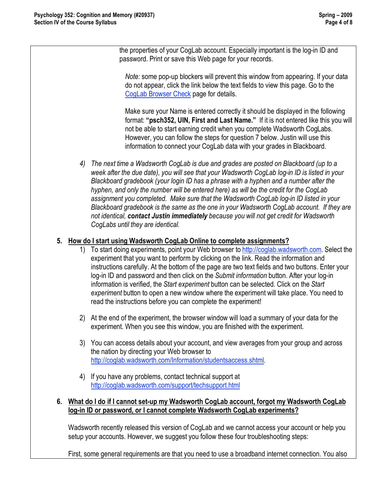the properties of your CogLab account. Especially important is the log-in ID and password. Print or save this Web page for your records.

*Note:* some pop-up blockers will prevent this window from appearing. If your data do not appear, click the link below the text fields to view this page. Go to the CogLab Browser Check page for details.

Make sure your Name is entered correctly it should be displayed in the following format: **"psch352, UIN, First and Last Name."** If it is not entered like this you will not be able to start earning credit when you complete Wadsworth CogLabs. However, you can follow the steps for question 7 below. Justin will use this information to connect your CogLab data with your grades in Blackboard.

*4) The next time a Wadsworth CogLab is due and grades are posted on Blackboard (up to a week after the due date), you will see that your Wadsworth CogLab log-in ID is listed in your Blackboard gradebook (your login ID has a phrase with a hyphen and a number after the hyphen, and only the number will be entered here) as will be the credit for the CogLab assignment you completed. Make sure that the Wadsworth CogLab log-in ID listed in your Blackboard gradebook is the same as the one in your Wadsworth CogLab account. If they are not identical, contact Justin immediately because you will not get credit for Wadsworth CogLabs until they are identical.* 

#### **5. How do I start using Wadsworth CogLab Online to complete assignments?**

- 1) To start doing experiments, point your Web browser to http://coglab.wadsworth.com. Select the experiment that you want to perform by clicking on the link. Read the information and instructions carefully. At the bottom of the page are two text fields and two buttons. Enter your log-in ID and password and then click on the *Submit information* button. After your log-in information is verified, the *Start experiment* button can be selected. Click on the *Start experiment* button to open a new window where the experiment will take place. You need to read the instructions before you can complete the experiment!
- 2) At the end of the experiment, the browser window will load a summary of your data for the experiment. When you see this window, you are finished with the experiment.
- 3) You can access details about your account, and view averages from your group and across the nation by directing your Web browser to http://coglab.wadsworth.com/Information/studentsaccess.shtml.
- 4) If you have any problems, contact technical support at http://coglab.wadsworth.com/support/techsupport.html

#### **6. What do I do if I cannot set-up my Wadsworth CogLab account, forgot my Wadsworth CogLab log-in ID or password, or I cannot complete Wadsworth CogLab experiments?**

Wadsworth recently released this version of CogLab and we cannot access your account or help you setup your accounts. However, we suggest you follow these four troubleshooting steps:

First, some general requirements are that you need to use a broadband internet connection. You also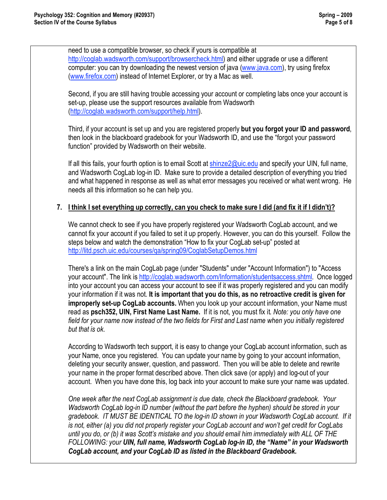need to use a compatible browser, so check if yours is compatible at http://coglab.wadsworth.com/support/browsercheck.html) and either upgrade or use a different computer: you can try downloading the newest version of java (www.java.com), try using firefox (www.firefox.com) instead of Internet Explorer, or try a Mac as well.

Second, if you are still having trouble accessing your account or completing labs once your account is set-up, please use the support resources available from Wadsworth (http://coglab.wadsworth.com/support/help.html).

Third, if your account is set up and you are registered properly **but you forgot your ID and password**, then look in the blackboard gradebook for your Wadsworth ID, and use the "forgot your password function" provided by Wadsworth on their website.

If all this fails, your fourth option is to email Scott at shinze2@uic.edu and specify your UIN, full name, and Wadsworth CogLab log-in ID. Make sure to provide a detailed description of everything you tried and what happened in response as well as what error messages you received or what went wrong. He needs all this information so he can help you.

#### **7. I think I set everything up correctly, can you check to make sure I did (and fix it if I didn't)?**

We cannot check to see if you have properly registered your Wadsworth CogLab account, and we cannot fix your account if you failed to set it up properly. However, you can do this yourself. Follow the steps below and watch the demonstration "How to fix your CogLab set-up" posted at http://litd.psch.uic.edu/courses/qa/spring09/CoglabSetupDemos.html

There's a link on the main CogLab page (under "Students" under "Account Information") to "Access your account". The link is http://coglab.wadsworth.com/Information/studentsaccess.shtml. Once logged into your account you can access your account to see if it was properly registered and you can modify your information if it was not. **It is important that you do this, as no retroactive credit is given for improperly set-up CogLab accounts.** When you look up your account information, your Name must read as **psch352, UIN, First Name Last Name.** If it is not, you must fix it*. Note: you only have one field for your name now instead of the two fields for First and Last name when you initially registered but that is ok.* 

According to Wadsworth tech support, it is easy to change your CogLab account information, such as your Name, once you registered. You can update your name by going to your account information, deleting your security answer, question, and password. Then you will be able to delete and rewrite your name in the proper format described above. Then click save (or apply) and log-out of your account. When you have done this, log back into your account to make sure your name was updated.

*One week after the next CogLab assignment is due date, check the Blackboard gradebook. Your Wadsworth CogLab log-in ID number (without the part before the hyphen) should be stored in your*  gradebook. IT MUST BE IDENTICAL TO the log-in ID shown in your Wadsworth CogLab account. If it *is not, either (a) you did not properly register your CogLab account and won't get credit for CogLabs until you do, or (b) it was Scott's mistake and you should email him immediately with ALL OF THE FOLLOWING: your UIN, full name, Wadsworth CogLab log-in ID, the "Name" in your Wadsworth CogLab account, and your CogLab ID as listed in the Blackboard Gradebook.*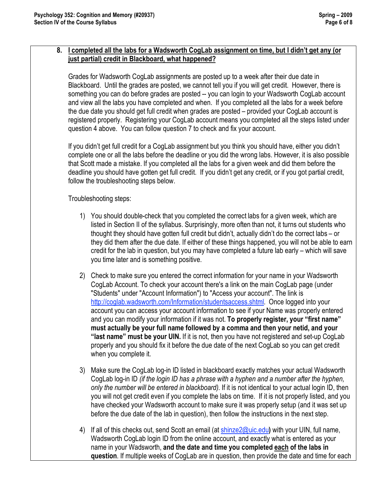#### **8. I completed all the labs for a Wadsworth CogLab assignment on time, but I didn't get any (or just partial) credit in Blackboard, what happened?**

Grades for Wadsworth CogLab assignments are posted up to a week after their due date in Blackboard. Until the grades are posted, we cannot tell you if you will get credit. However, there is something you can do before grades are posted -- you can login to your Wadsworth CogLab account and view all the labs you have completed and when. If you completed all the labs for a week before the due date you should get full credit when grades are posted – provided your CogLab account is registered properly. Registering your CogLab account means you completed all the steps listed under question 4 above. You can follow question 7 to check and fix your account.

If you didn't get full credit for a CogLab assignment but you think you should have, either you didn't complete one or all the labs before the deadline or you did the wrong labs. However, it is also possible that Scott made a mistake. If you completed all the labs for a given week and did them before the deadline you should have gotten get full credit. If you didn't get any credit, or if you got partial credit, follow the troubleshooting steps below.

#### Troubleshooting steps:

- 1) You should double-check that you completed the correct labs for a given week, which are listed in Section II of the syllabus. Surprisingly, more often than not, it turns out students who thought they should have gotten full credit but didn't, actually didn't do the correct labs – or they did them after the due date. If either of these things happened, you will not be able to earn credit for the lab in question, but you may have completed a future lab early – which will save you time later and is something positive.
- 2) Check to make sure you entered the correct information for your name in your Wadsworth CogLab Account. To check your account there's a link on the main CogLab page (under "Students" under "Account Information") to "Access your account". The link is http://coglab.wadsworth.com/Information/studentsaccess.shtml. Once logged into your account you can access your account information to see if your Name was properly entered and you can modify your information if it was not. **To properly register, your "first name" must actually be your full name followed by a comma and then your netid, and your "last name" must be your UIN.** If it is not, then you have not registered and set-up CogLab properly and you should fix it before the due date of the next CogLab so you can get credit when you complete it.
- 3) Make sure the CogLab log-in ID listed in blackboard exactly matches your actual Wadsworth CogLab log-in ID *(if the login ID has a phrase with a hyphen and a number after the hyphen, only the number will be entered in blackboard).* If it is not identical to your actual login ID, then you will not get credit even if you complete the labs on time. If it is not properly listed, and you have checked your Wadsworth account to make sure it was properly setup (and it was set up before the due date of the lab in question), then follow the instructions in the next step.
- 4) If all of this checks out, send Scott an email (at shinze2@uic.edu**)** with your UIN, full name, Wadsworth CogLab login ID from the online account, and exactly what is entered as your name in your Wadsworth, **and the date and time you completed each of the labs in question**. If multiple weeks of CogLab are in question, then provide the date and time for each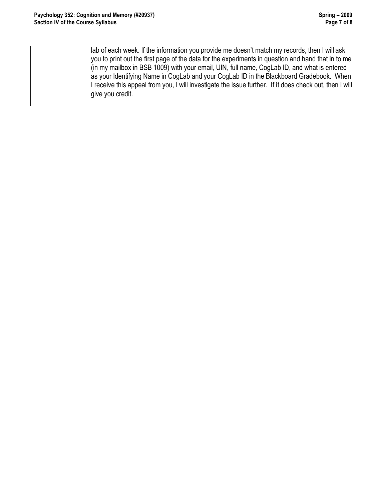lab of each week. If the information you provide me doesn't match my records, then I will ask you to print out the first page of the data for the experiments in question and hand that in to me (in my mailbox in BSB 1009) with your email, UIN, full name, CogLab ID, and what is entered as your Identifying Name in CogLab and your CogLab ID in the Blackboard Gradebook. When I receive this appeal from you, I will investigate the issue further. If it does check out, then I will give you credit.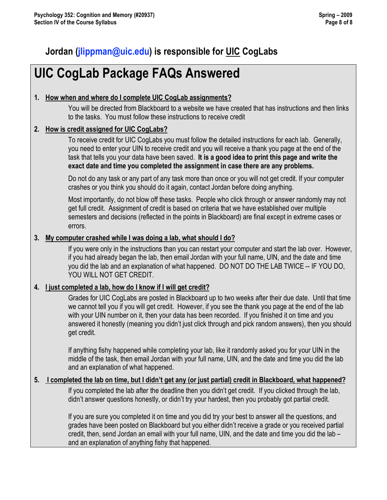# **Jordan (jlippman@uic.edu) is responsible for UIC CogLabs**

# **UIC CogLab Package FAQs Answered**

### **1. How when and where do I complete UIC CogLab assignments?**

You will be directed from Blackboard to a website we have created that has instructions and then links to the tasks. You must follow these instructions to receive credit

### **2. How is credit assigned for UIC CogLabs?**

To receive credit for UIC CogLabs you must follow the detailed instructions for each lab. Generally, you need to enter your UIN to receive credit and you will receive a thank you page at the end of the task that tells you your data have been saved. **It is a good idea to print this page and write the exact date and time you completed the assignment in case there are any problems.** 

Do not do any task or any part of any task more than once or you will not get credit. If your computer crashes or you think you should do it again, contact Jordan before doing anything.

Most importantly, do not blow off these tasks. People who click through or answer randomly may not get full credit. Assignment of credit is based on criteria that we have established over multiple semesters and decisions (reflected in the points in Blackboard) are final except in extreme cases or errors.

#### **3. My computer crashed while I was doing a lab, what should I do?**

If you were only in the instructions than you can restart your computer and start the lab over. However, if you had already began the lab, then email Jordan with your full name, UIN, and the date and time you did the lab and an explanation of what happened. DO NOT DO THE LAB TWICE -- IF YOU DO, YOU WILL NOT GET CREDIT.

#### **4. I just completed a lab, how do I know if I will get credit?**

Grades for UIC CogLabs are posted in Blackboard up to two weeks after their due date. Until that time we cannot tell you if you will get credit. However, if you see the thank you page at the end of the lab with your UIN number on it, then your data has been recorded. If you finished it on time and you answered it honestly (meaning you didn't just click through and pick random answers), then you should get credit.

If anything fishy happened while completing your lab, like it randomly asked you for your UIN in the middle of the task, then email Jordan with your full name, UIN, and the date and time you did the lab and an explanation of what happened.

#### **5. I completed the lab on time, but I didn't get any (or just partial) credit in Blackboard, what happened?**

If you completed the lab after the deadline then you didn't get credit. If you clicked through the lab, didn't answer questions honestly, or didn't try your hardest, then you probably got partial credit.

If you are sure you completed it on time and you did try your best to answer all the questions, and grades have been posted on Blackboard but you either didn't receive a grade or you received partial credit, then, send Jordan an email with your full name, UIN, and the date and time you did the lab – and an explanation of anything fishy that happened.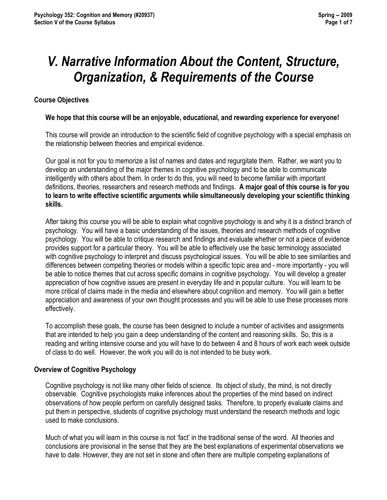# *V. Narrative Information About the Content, Structure, Organization, & Requirements of the Course*

#### **Course Objectives**

#### **We hope that this course will be an enjoyable, educational, and rewarding experience for everyone!**

This course will provide an introduction to the scientific field of cognitive psychology with a special emphasis on the relationship between theories and empirical evidence.

Our goal is not for you to memorize a list of names and dates and regurgitate them. Rather, we want you to develop an understanding of the major themes in cognitive psychology and to be able to communicate intelligently with others about them. In order to do this, you will need to become familiar with important definitions, theories, researchers and research methods and findings. **A major goal of this course is for you to learn to write effective scientific arguments while simultaneously developing your scientific thinking skills.**

After taking this course you will be able to explain what cognitive psychology is and why it is a distinct branch of psychology. You will have a basic understanding of the issues, theories and research methods of cognitive psychology. You will be able to critique research and findings and evaluate whether or not a piece of evidence provides support for a particular theory. You will be able to effectively use the basic terminology associated with cognitive psychology to interpret and discuss psychological issues. You will be able to see similarities and differences between competing theories or models within a specific topic area and - more importantly - you will be able to notice themes that cut across specific domains in cognitive psychology. You will develop a greater appreciation of how cognitive issues are present in everyday life and in popular culture. You will learn to be more critical of claims made in the media and elsewhere about cognition and memory. You will gain a better appreciation and awareness of your own thought processes and you will be able to use these processes more effectively.

To accomplish these goals, the course has been designed to include a number of activities and assignments that are intended to help you gain a deep understanding of the content and reasoning skills. So, this is a reading and writing intensive course and you will have to do between 4 and 8 hours of work each week outside of class to do well. However, the work you will do is not intended to be busy work.

#### **Overview of Cognitive Psychology**

Cognitive psychology is not like many other fields of science. Its object of study, the mind, is not directly observable. Cognitive psychologists make inferences about the properties of the mind based on indirect observations of how people perform on carefully designed tasks. Therefore, to properly evaluate claims and put them in perspective, students of cognitive psychology must understand the research methods and logic used to make conclusions.

Much of what you will learn in this course is not 'fact' in the traditional sense of the word. All theories and conclusions are provisional in the sense that they are the best explanations of experimental observations we have to date. However, they are not set in stone and often there are multiple competing explanations of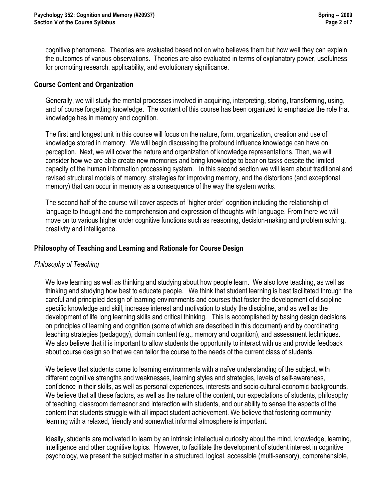cognitive phenomena. Theories are evaluated based not on who believes them but how well they can explain the outcomes of various observations. Theories are also evaluated in terms of explanatory power, usefulness for promoting research, applicability, and evolutionary significance.

#### **Course Content and Organization**

Generally, we will study the mental processes involved in acquiring, interpreting, storing, transforming, using, and of course forgetting knowledge. The content of this course has been organized to emphasize the role that knowledge has in memory and cognition.

The first and longest unit in this course will focus on the nature, form, organization, creation and use of knowledge stored in memory. We will begin discussing the profound influence knowledge can have on perception. Next, we will cover the nature and organization of knowledge representations. Then, we will consider how we are able create new memories and bring knowledge to bear on tasks despite the limited capacity of the human information processing system. In this second section we will learn about traditional and revised structural models of memory, strategies for improving memory, and the distortions (and exceptional memory) that can occur in memory as a consequence of the way the system works.

The second half of the course will cover aspects of "higher order" cognition including the relationship of language to thought and the comprehension and expression of thoughts with language. From there we will move on to various higher order cognitive functions such as reasoning, decision-making and problem solving, creativity and intelligence.

#### **Philosophy of Teaching and Learning and Rationale for Course Design**

#### *Philosophy of Teaching*

We love learning as well as thinking and studying about how people learn. We also love teaching, as well as thinking and studying how best to educate people. We think that student learning is best facilitated through the careful and principled design of learning environments and courses that foster the development of discipline specific knowledge and skill, increase interest and motivation to study the discipline, and as well as the development of life long learning skills and critical thinking. This is accomplished by basing design decisions on principles of learning and cognition (some of which are described in this document) and by coordinating teaching strategies (pedagogy), domain content (e.g., memory and cognition), and assessment techniques. We also believe that it is important to allow students the opportunity to interact with us and provide feedback about course design so that we can tailor the course to the needs of the current class of students.

We believe that students come to learning environments with a naïve understanding of the subject, with different cognitive strengths and weaknesses, learning styles and strategies, levels of self-awareness, confidence in their skills, as well as personal experiences, interests and socio-cultural-economic backgrounds. We believe that all these factors, as well as the nature of the content, our expectations of students, philosophy of teaching, classroom demeanor and interaction with students, and our ability to sense the aspects of the content that students struggle with all impact student achievement. We believe that fostering community learning with a relaxed, friendly and somewhat informal atmosphere is important.

Ideally, students are motivated to learn by an intrinsic intellectual curiosity about the mind, knowledge, learning, intelligence and other cognitive topics. However, to facilitate the development of student interest in cognitive psychology, we present the subject matter in a structured, logical, accessible (multi-sensory), comprehensible,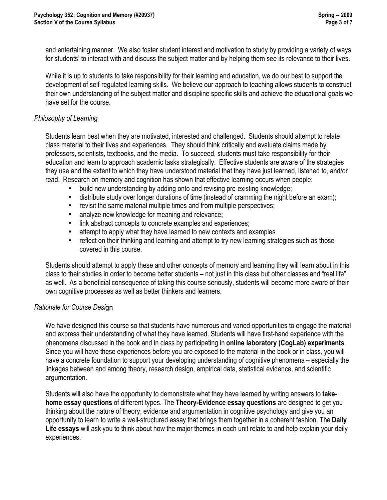and entertaining manner. We also foster student interest and motivation to study by providing a variety of ways for students' to interact with and discuss the subject matter and by helping them see its relevance to their lives.

While it is up to students to take responsibility for their learning and education, we do our best to support the development of self-regulated learning skills. We believe our approach to teaching allows students to construct their own understanding of the subject matter and discipline specific skills and achieve the educational goals we have set for the course.

#### *Philosophy of Learning*

Students learn best when they are motivated, interested and challenged. Students should attempt to relate class material to their lives and experiences. They should think critically and evaluate claims made by professors, scientists, textbooks, and the media. To succeed, students must take responsibility for their education and learn to approach academic tasks strategically. Effective students are aware of the strategies they use and the extent to which they have understood material that they have just learned, listened to, and/or read. Research on memory and cognition has shown that effective learning occurs when people:

- build new understanding by adding onto and revising pre-existing knowledge;
- distribute study over longer durations of time (instead of cramming the night before an exam);
- revisit the same material multiple times and from multiple perspectives;
- analyze new knowledge for meaning and relevance;
- link abstract concepts to concrete examples and experiences;
- attempt to apply what they have learned to new contexts and examples
- reflect on their thinking and learning and attempt to try new learning strategies such as those covered in this course.

Students should attempt to apply these and other concepts of memory and learning they will learn about in this class to their studies in order to become better students – not just in this class but other classes and "real life" as well. As a beneficial consequence of taking this course seriously, students will become more aware of their own cognitive processes as well as better thinkers and learners.

#### *Rationale for Course Desi*gn

We have designed this course so that students have numerous and varied opportunities to engage the material and express their understanding of what they have learned. Students will have first-hand experience with the phenomena discussed in the book and in class by participating in **online laboratory (CogLab) experiments**. Since you will have these experiences before you are exposed to the material in the book or in class, you will have a concrete foundation to support your developing understanding of cognitive phenomena – especially the linkages between and among theory, research design, empirical data, statistical evidence, and scientific argumentation.

Students will also have the opportunity to demonstrate what they have learned by writing answers to **takehome essay questions** of different types. The **Theory-Evidence essay questions** are designed to get you thinking about the nature of theory, evidence and argumentation in cognitive psychology and give you an opportunity to learn to write a well-structured essay that brings them together in a coherent fashion. The **Daily Life essays** will ask you to think about how the major themes in each unit relate to and help explain your daily experiences.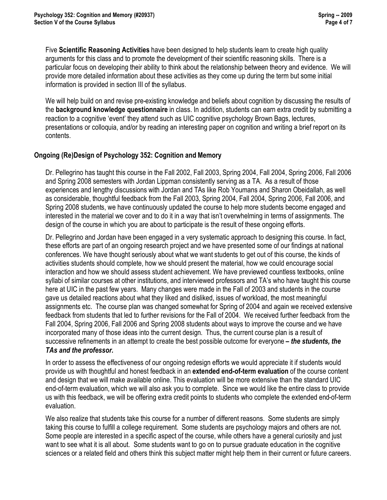Five **Scientific Reasoning Activities** have been designed to help students learn to create high quality arguments for this class and to promote the development of their scientific reasoning skills. There is a particular focus on developing their ability to think about the relationship between theory and evidence. We will provide more detailed information about these activities as they come up during the term but some initial information is provided in section III of the syllabus.

We will help build on and revise pre-existing knowledge and beliefs about cognition by discussing the results of the **background knowledge questionnaire** in class. In addition, students can earn extra credit by submitting a reaction to a cognitive 'event' they attend such as UIC cognitive psychology Brown Bags, lectures, presentations or colloquia, and/or by reading an interesting paper on cognition and writing a brief report on its contents.

#### **Ongoing (Re)Design of Psychology 352: Cognition and Memory**

Dr. Pellegrino has taught this course in the Fall 2002, Fall 2003, Spring 2004, Fall 2004, Spring 2006, Fall 2006 and Spring 2008 semesters with Jordan Lippman consistently serving as a TA. As a result of those experiences and lengthy discussions with Jordan and TAs like Rob Youmans and Sharon Obeidallah, as well as considerable, thoughtful feedback from the Fall 2003, Spring 2004, Fall 2004, Spring 2006, Fall 2006, and Spring 2008 students, we have continuously updated the course to help more students become engaged and interested in the material we cover and to do it in a way that isn't overwhelming in terms of assignments. The design of the course in which you are about to participate is the result of these ongoing efforts.

Dr. Pellegrino and Jordan have been engaged in a very systematic approach to designing this course. In fact, these efforts are part of an ongoing research project and we have presented some of our findings at national conferences. We have thought seriously about what we want students to get out of this course, the kinds of activities students should complete, how we should present the material, how we could encourage social interaction and how we should assess student achievement. We have previewed countless textbooks, online syllabi of similar courses at other institutions, and interviewed professors and TA's who have taught this course here at UIC in the past few years. Many changes were made in the Fall of 2003 and students in the course gave us detailed reactions about what they liked and disliked, issues of workload, the most meaningful assignments etc. The course plan was changed somewhat for Spring of 2004 and again we received extensive feedback from students that led to further revisions for the Fall of 2004. We received further feedback from the Fall 2004, Spring 2006, Fall 2006 and Spring 2008 students about ways to improve the course and we have incorporated many of those ideas into the current design. Thus, the current course plan is a result of successive refinements in an attempt to create the best possible outcome for everyone *– the students, the TAs and the professor.*

In order to assess the effectiveness of our ongoing redesign efforts we would appreciate it if students would provide us with thoughtful and honest feedback in an **extended end-of-term evaluation** of the course content and design that we will make available online. This evaluation will be more extensive than the standard UIC end-of-term evaluation, which we will also ask you to complete. Since we would like the entire class to provide us with this feedback, we will be offering extra credit points to students who complete the extended end-of-term evaluation.

We also realize that students take this course for a number of different reasons. Some students are simply taking this course to fulfill a college requirement. Some students are psychology majors and others are not. Some people are interested in a specific aspect of the course, while others have a general curiosity and just want to see what it is all about. Some students want to go on to pursue graduate education in the cognitive sciences or a related field and others think this subject matter might help them in their current or future careers.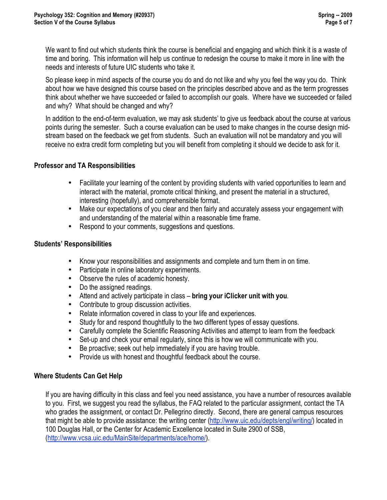We want to find out which students think the course is beneficial and engaging and which think it is a waste of time and boring. This information will help us continue to redesign the course to make it more in line with the needs and interests of future UIC students who take it.

So please keep in mind aspects of the course you do and do not like and why you feel the way you do. Think about how we have designed this course based on the principles described above and as the term progresses think about whether we have succeeded or failed to accomplish our goals. Where have we succeeded or failed and why? What should be changed and why?

In addition to the end-of-term evaluation, we may ask students' to give us feedback about the course at various points during the semester. Such a course evaluation can be used to make changes in the course design midstream based on the feedback we get from students. Such an evaluation will not be mandatory and you will receive no extra credit form completing but you will benefit from completing it should we decide to ask for it.

#### **Professor and TA Responsibilities**

- Facilitate your learning of the content by providing students with varied opportunities to learn and interact with the material, promote critical thinking, and present the material in a structured, interesting (hopefully), and comprehensible format.
- Make our expectations of you clear and then fairly and accurately assess your engagement with and understanding of the material within a reasonable time frame.
- Respond to your comments, suggestions and questions.

#### **Students' Responsibilities**

- Know your responsibilities and assignments and complete and turn them in on time.
- Participate in online laboratory experiments.
- Observe the rules of academic honesty.
- Do the assigned readings.
- Attend and actively participate in class **bring your iClicker unit with you**.
- Contribute to group discussion activities.
- Relate information covered in class to your life and experiences.
- Study for and respond thoughtfully to the two different types of essay questions.
- Carefully complete the Scientific Reasoning Activities and attempt to learn from the feedback
- Set-up and check your email regularly, since this is how we will communicate with you.
- Be proactive; seek out help immediately if you are having trouble.
- Provide us with honest and thoughtful feedback about the course.

#### **Where Students Can Get Help**

If you are having difficulty in this class and feel you need assistance, you have a number of resources available to you. First, we suggest you read the syllabus, the FAQ related to the particular assignment, contact the TA who grades the assignment, or contact Dr. Pellegrino directly. Second, there are general campus resources that might be able to provide assistance: the writing center (http://www.uic.edu/depts/engl/writing/) located in 100 Douglas Hall, or the Center for Academic Excellence located in Suite 2900 of SSB, (http://www.vcsa.uic.edu/MainSite/departments/ace/home/).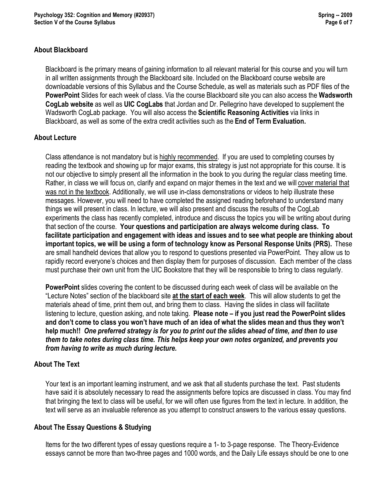#### **About Blackboard**

Blackboard is the primary means of gaining information to all relevant material for this course and you will turn in all written assignments through the Blackboard site. Included on the Blackboard course website are downloadable versions of this Syllabus and the Course Schedule, as well as materials such as PDF files of the **PowerPoint** Slides for each week of class. Via the course Blackboard site you can also access the **Wadsworth CogLab website** as well as **UIC CogLabs** that Jordan and Dr. Pellegrino have developed to supplement the Wadsworth CogLab package. You will also access the **Scientific Reasoning Activities** via links in Blackboard, as well as some of the extra credit activities such as the **End of Term Evaluation.**

#### **About Lecture**

Class attendance is not mandatory but is highly recommended. If you are used to completing courses by reading the textbook and showing up for major exams, this strategy is just not appropriate for this course. It is not our objective to simply present all the information in the book to you during the regular class meeting time. Rather, in class we will focus on, clarify and expand on major themes in the text and we will cover material that was not in the textbook. Additionally, we will use in-class demonstrations or videos to help illustrate these messages. However, you will need to have completed the assigned reading beforehand to understand many things we will present in class. In lecture, we will also present and discuss the results of the CogLab experiments the class has recently completed, introduce and discuss the topics you will be writing about during that section of the course. **Your questions and participation are always welcome during class. To facilitate participation and engagement with ideas and issues and to see what people are thinking about important topics, we will be using a form of technology know as Personal Response Units (PRS).** These are small handheld devices that allow you to respond to questions presented via PowerPoint. They allow us to rapidly record everyone's choices and then display them for purposes of discussion. Each member of the class must purchase their own unit from the UIC Bookstore that they will be responsible to bring to class regularly.

**PowerPoint** slides covering the content to be discussed during each week of class will be available on the "Lecture Notes" section of the blackboard site **at the start of each week**. This will allow students to get the materials ahead of time, print them out, and bring them to class. Having the slides in class will facilitate listening to lecture, question asking, and note taking. **Please note – if you just read the PowerPoint slides and don't come to class you won't have much of an idea of what the slides mean and thus they won't help much!!** *One preferred strategy is for you to print out the slides ahead of time, and then to use them to take notes during class time. This helps keep your own notes organized, and prevents you from having to write as much during lecture.* 

#### **About The Text**

Your text is an important learning instrument, and we ask that all students purchase the text. Past students have said it is absolutely necessary to read the assignments before topics are discussed in class. You may find that bringing the text to class will be useful, for we will often use figures from the text in lecture. In addition, the text will serve as an invaluable reference as you attempt to construct answers to the various essay questions.

#### **About The Essay Questions & Studying**

Items for the two different types of essay questions require a 1- to 3-page response. The Theory-Evidence essays cannot be more than two-three pages and 1000 words, and the Daily Life essays should be one to one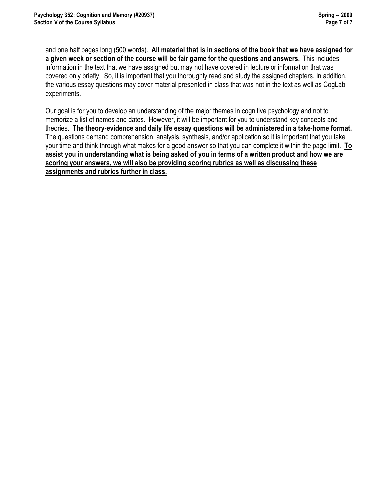and one half pages long (500 words). **All material that is in sections of the book that we have assigned for a given week or section of the course will be fair game for the questions and answers.** This includes information in the text that we have assigned but may not have covered in lecture or information that was covered only briefly. So, it is important that you thoroughly read and study the assigned chapters. In addition, the various essay questions may cover material presented in class that was not in the text as well as CogLab experiments.

Our goal is for you to develop an understanding of the major themes in cognitive psychology and not to memorize a list of names and dates. However, it will be important for you to understand key concepts and theories. **The theory-evidence and daily life essay questions will be administered in a take-home format.** The questions demand comprehension, analysis, synthesis, and/or application so it is important that you take your time and think through what makes for a good answer so that you can complete it within the page limit. **To assist you in understanding what is being asked of you in terms of a written product and how we are scoring your answers, we will also be providing scoring rubrics as well as discussing these assignments and rubrics further in class.**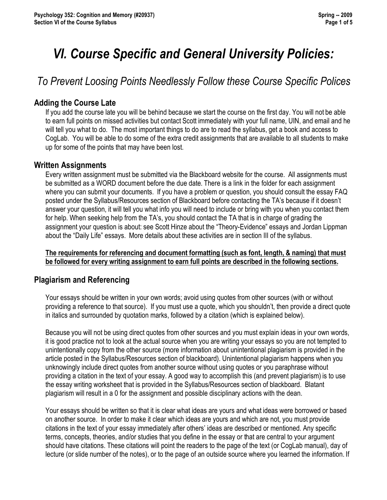# *VI. Course Specific and General University Policies:*

# *To Prevent Loosing Points Needlessly Follow these Course Specific Polices*

## **Adding the Course Late**

If you add the course late you will be behind because we start the course on the first day. You will not be able to earn full points on missed activities but contact Scott immediately with your full name, UIN, and email and he will tell you what to do. The most important things to do are to read the syllabus, get a book and access to CogLab. You will be able to do some of the extra credit assignments that are available to all students to make up for some of the points that may have been lost.

#### **Written Assignments**

Every written assignment must be submitted via the Blackboard website for the course. All assignments must be submitted as a WORD document before the due date. There is a link in the folder for each assignment where you can submit your documents. If you have a problem or question, you should consult the essay FAQ posted under the Syllabus/Resources section of Blackboard before contacting the TA's because if it doesn't answer your question, it will tell you what info you will need to include or bring with you when you contact them for help. When seeking help from the TA's, you should contact the TA that is in charge of grading the assignment your question is about: see Scott Hinze about the "Theory-Evidence" essays and Jordan Lippman about the "Daily Life" essays. More details about these activities are in section III of the syllabus.

#### **The requirements for referencing and document formatting (such as font, length, & naming) that must be followed for every writing assignment to earn full points are described in the following sections.**

## **Plagiarism and Referencing**

Your essays should be written in your own words; avoid using quotes from other sources (with or without providing a reference to that source). If you must use a quote, which you shouldn't, then provide a direct quote in italics and surrounded by quotation marks, followed by a citation (which is explained below).

Because you will not be using direct quotes from other sources and you must explain ideas in your own words, it is good practice not to look at the actual source when you are writing your essays so you are not tempted to unintentionally copy from the other source (more information about unintentional plagiarism is provided in the article posted in the Syllabus/Resources section of blackboard). Unintentional plagiarism happens when you unknowingly include direct quotes from another source without using quotes or you paraphrase without providing a citation in the text of your essay. A good way to accomplish this (and prevent plagiarism) is to use the essay writing worksheet that is provided in the Syllabus/Resources section of blackboard. Blatant plagiarism will result in a 0 for the assignment and possible disciplinary actions with the dean.

Your essays should be written so that it is clear what ideas are yours and what ideas were borrowed or based on another source. In order to make it clear which ideas are yours and which are not, you must provide citations in the text of your essay immediately after others' ideas are described or mentioned. Any specific terms, concepts, theories, and/or studies that you define in the essay or that are central to your argument should have citations. These citations will point the readers to the page of the text (or CogLab manual), day of lecture (or slide number of the notes), or to the page of an outside source where you learned the information. If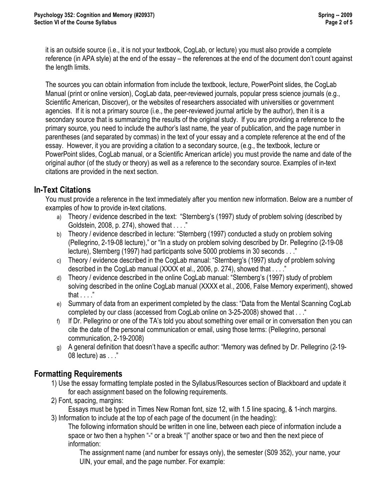it is an outside source (i.e., it is not your textbook, CogLab, or lecture) you must also provide a complete reference (in APA style) at the end of the essay – the references at the end of the document don't count against the length limits.

The sources you can obtain information from include the textbook, lecture, PowerPoint slides, the CogLab Manual (print or online version), CogLab data, peer-reviewed journals, popular press science journals (e.g., Scientific American, Discover), or the websites of researchers associated with universities or government agencies. If it is not a primary source (i.e., the peer-reviewed journal article by the author), then it is a secondary source that is summarizing the results of the original study. If you are providing a reference to the primary source, you need to include the author's last name, the year of publication, and the page number in parentheses (and separated by commas) in the text of your essay and a complete reference at the end of the essay. However, it you are providing a citation to a secondary source, (e.g., the textbook, lecture or PowerPoint slides, CogLab manual, or a Scientific American article) you must provide the name and date of the original author (of the study or theory) as well as a reference to the secondary source. Examples of in-text citations are provided in the next section.

## **In-Text Citations**

You must provide a reference in the text immediately after you mention new information. Below are a number of examples of how to provide in-text citations.

- a) Theory / evidence described in the text: "Sternberg's (1997) study of problem solving (described by Goldstein, 2008, p. 274), showed that . . . ."
- b) Theory / evidence described in lecture: "Sternberg (1997) conducted a study on problem solving (Pellegrino, 2-19-08 lecture)," or "In a study on problem solving described by Dr. Pellegrino (2-19-08 lecture), Sternberg (1997) had participants solve 5000 problems in 30 seconds . . ."
- c) Theory / evidence described in the CogLab manual: "Sternberg's (1997) study of problem solving described in the CogLab manual (XXXX et al., 2006, p. 274), showed that . . . ."
- d) Theory / evidence described in the online CogLab manual: "Sternberg's (1997) study of problem solving described in the online CogLab manual (XXXX et al., 2006, False Memory experiment), showed that . . . ."
- e) Summary of data from an experiment completed by the class: "Data from the Mental Scanning CogLab completed by our class (accessed from CogLab online on 3-25-2008) showed that . . ."
- f) If Dr. Pellegrino or one of the TA's told you about something over email or in conversation then you can cite the date of the personal communication or email, using those terms: (Pellegrino, personal communication, 2-19-2008)
- g) A general definition that doesn't have a specific author: "Memory was defined by Dr. Pellegrino (2-19- 08 lecture) as . . ."

## **Formatting Requirements**

- 1) Use the essay formatting template posted in the Syllabus/Resources section of Blackboard and update it for each assignment based on the following requirements.
- 2) Font, spacing, margins:

Essays must be typed in Times New Roman font, size 12, with 1.5 line spacing, & 1-inch margins. 3) Information to include at the top of each page of the document (in the heading):

The following information should be written in one line, between each piece of information include a space or two then a hyphen "-" or a break "|" another space or two and then the next piece of information:

The assignment name (and number for essays only), the semester (S09 352), your name, your UIN, your email, and the page number. For example: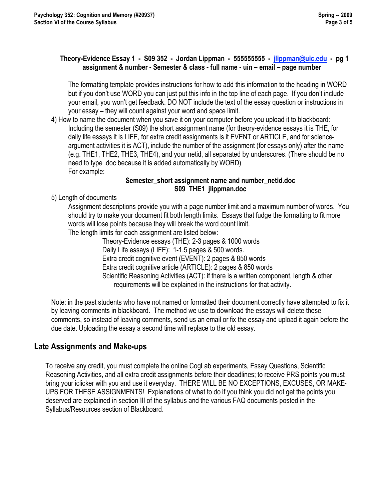#### **Theory-Evidence Essay 1 - S09 352 - Jordan Lippman - 555555555 - jlippman@uic.edu - pg 1 assignment & number - Semester & class - full name - uin – email – page number**

The formatting template provides instructions for how to add this information to the heading in WORD but if you don't use WORD you can just put this info in the top line of each page. If you don't include your email, you won't get feedback. DO NOT include the text of the essay question or instructions in your essay – they will count against your word and space limit.

4) How to name the document when you save it on your computer before you upload it to blackboard: Including the semester (S09) the short assignment name (for theory-evidence essays it is THE, for daily life essays it is LIFE, for extra credit assignments is it EVENT or ARTICLE, and for scienceargument activities it is ACT), include the number of the assignment (for essays only) after the name (e.g. THE1, THE2, THE3, THE4), and your netid, all separated by underscores. (There should be no need to type .doc because it is added automatically by WORD) For example:

#### **Semester\_short assignment name and number\_netid.doc S09\_THE1\_jlippman.doc**

5) Length of documents

Assignment descriptions provide you with a page number limit and a maximum number of words. You should try to make your document fit both length limits. Essays that fudge the formatting to fit more words will lose points because they will break the word count limit.

The length limits for each assignment are listed below:

Theory-Evidence essays (THE): 2-3 pages & 1000 words Daily Life essays (LIFE): 1-1.5 pages & 500 words. Extra credit cognitive event (EVENT): 2 pages & 850 words Extra credit cognitive article (ARTICLE): 2 pages & 850 words Scientific Reasoning Activities (ACT): if there is a written component, length & other requirements will be explained in the instructions for that activity.

Note: in the past students who have not named or formatted their document correctly have attempted to fix it by leaving comments in blackboard. The method we use to download the essays will delete these comments, so instead of leaving comments, send us an email or fix the essay and upload it again before the due date. Uploading the essay a second time will replace to the old essay.

## **Late Assignments and Make-ups**

To receive any credit, you must complete the online CogLab experiments, Essay Questions, Scientific Reasoning Activities, and all extra credit assignments before their deadlines; to receive PRS points you must bring your iclicker with you and use it everyday. THERE WILL BE NO EXCEPTIONS, EXCUSES, OR MAKE-UPS FOR THESE ASSIGNMENTS! Explanations of what to do if you think you did not get the points you deserved are explained in section III of the syllabus and the various FAQ documents posted in the Syllabus/Resources section of Blackboard.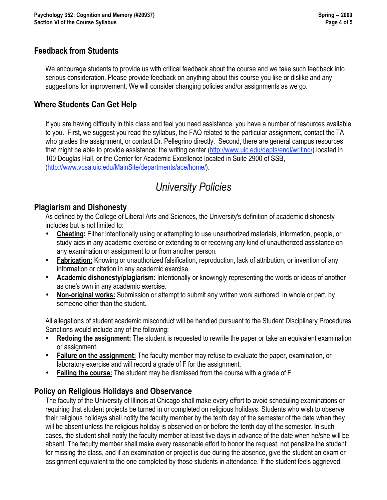## **Feedback from Students**

We encourage students to provide us with critical feedback about the course and we take such feedback into serious consideration. Please provide feedback on anything about this course you like or dislike and any suggestions for improvement. We will consider changing policies and/or assignments as we go.

## **Where Students Can Get Help**

If you are having difficulty in this class and feel you need assistance, you have a number of resources available to you. First, we suggest you read the syllabus, the FAQ related to the particular assignment, contact the TA who grades the assignment, or contact Dr. Pellegrino directly. Second, there are general campus resources that might be able to provide assistance: the writing center (http://www.uic.edu/depts/engl/writing/) located in 100 Douglas Hall, or the Center for Academic Excellence located in Suite 2900 of SSB, (http://www.vcsa.uic.edu/MainSite/departments/ace/home/).

# *University Policies*

### **Plagiarism and Dishonesty**

As defined by the College of Liberal Arts and Sciences, the University's definition of academic dishonesty includes but is not limited to:

- **Cheating:** Either intentionally using or attempting to use unauthorized materials, information, people, or study aids in any academic exercise or extending to or receiving any kind of unauthorized assistance on any examination or assignment to or from another person.
- **Fabrication:** Knowing or unauthorized falsification, reproduction, lack of attribution, or invention of any information or citation in any academic exercise.
- **Academic dishonesty/plagiarism:** Intentionally or knowingly representing the words or ideas of another as one's own in any academic exercise.
- **Non-original works:** Submission or attempt to submit any written work authored, in whole or part, by someone other than the student.

All allegations of student academic misconduct will be handled pursuant to the Student Disciplinary Procedures. Sanctions would include any of the following:

- **Redoing the assignment:** The student is requested to rewrite the paper or take an equivalent examination or assignment.
- **Failure on the assignment:** The faculty member may refuse to evaluate the paper, examination, or laboratory exercise and will record a grade of F for the assignment.
- **Failing the course:** The student may be dismissed from the course with a grade of F.

## **Policy on Religious Holidays and Observance**

The faculty of the University of Illinois at Chicago shall make every effort to avoid scheduling examinations or requiring that student projects be turned in or completed on religious holidays. Students who wish to observe their religious holidays shall notify the faculty member by the tenth day of the semester of the date when they will be absent unless the religious holiday is observed on or before the tenth day of the semester. In such cases, the student shall notify the faculty member at least five days in advance of the date when he/she will be absent. The faculty member shall make every reasonable effort to honor the request, not penalize the student for missing the class, and if an examination or project is due during the absence, give the student an exam or assignment equivalent to the one completed by those students in attendance. If the student feels aggrieved,